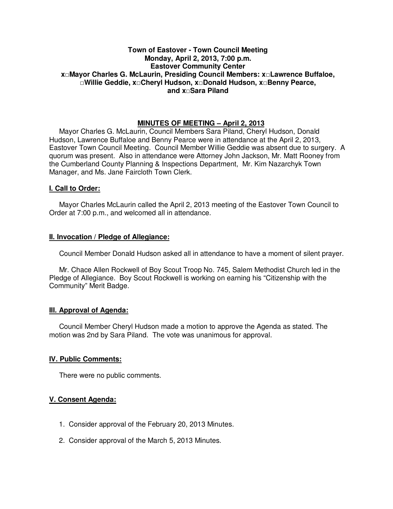## **Town of Eastover - Town Council Meeting Monday, April 2, 2013, 7:00 p.m. Eastover Community Center x□Mayor Charles G. McLaurin, Presiding Council Members: x□Lawrence Buffaloe, □Willie Geddie, x□Cheryl Hudson, x□Donald Hudson, x□Benny Pearce, and x□Sara Piland**

## **MINUTES OF MEETING – April 2, 2013**

Mayor Charles G. McLaurin, Council Members Sara Piland, Cheryl Hudson, Donald Hudson, Lawrence Buffaloe and Benny Pearce were in attendance at the April 2, 2013, Eastover Town Council Meeting. Council Member Willie Geddie was absent due to surgery. A quorum was present. Also in attendance were Attorney John Jackson, Mr. Matt Rooney from the Cumberland County Planning & Inspections Department, Mr. Kim Nazarchyk Town Manager, and Ms. Jane Faircloth Town Clerk.

#### **I. Call to Order:**

Mayor Charles McLaurin called the April 2, 2013 meeting of the Eastover Town Council to Order at 7:00 p.m., and welcomed all in attendance.

#### **II. Invocation / Pledge of Allegiance:**

Council Member Donald Hudson asked all in attendance to have a moment of silent prayer.

 Mr. Chace Allen Rockwell of Boy Scout Troop No. 745, Salem Methodist Church led in the Pledge of Allegiance. Boy Scout Rockwell is working on earning his "Citizenship with the Community" Merit Badge.

## **III. Approval of Agenda:**

 Council Member Cheryl Hudson made a motion to approve the Agenda as stated. The motion was 2nd by Sara Piland. The vote was unanimous for approval.

## **IV. Public Comments:**

There were no public comments.

## **V. Consent Agenda:**

- 1. Consider approval of the February 20, 2013 Minutes.
- 2. Consider approval of the March 5, 2013 Minutes.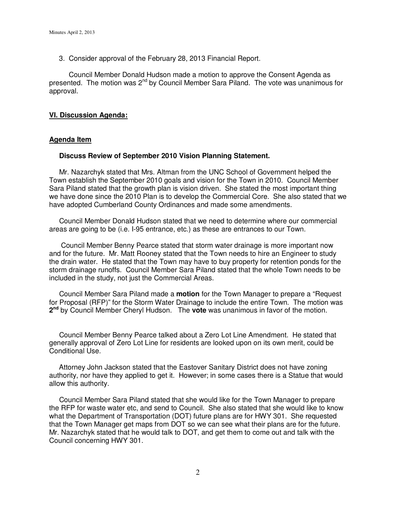3. Consider approval of the February 28, 2013 Financial Report.

 Council Member Donald Hudson made a motion to approve the Consent Agenda as presented. The motion was 2<sup>nd</sup> by Council Member Sara Piland. The vote was unanimous for approval.

#### **VI. Discussion Agenda:**

### **Agenda Item**

#### **Discuss Review of September 2010 Vision Planning Statement.**

 Mr. Nazarchyk stated that Mrs. Altman from the UNC School of Government helped the Town establish the September 2010 goals and vision for the Town in 2010. Council Member Sara Piland stated that the growth plan is vision driven. She stated the most important thing we have done since the 2010 Plan is to develop the Commercial Core. She also stated that we have adopted Cumberland County Ordinances and made some amendments.

 Council Member Donald Hudson stated that we need to determine where our commercial areas are going to be (i.e. I-95 entrance, etc.) as these are entrances to our Town.

 Council Member Benny Pearce stated that storm water drainage is more important now and for the future. Mr. Matt Rooney stated that the Town needs to hire an Engineer to study the drain water. He stated that the Town may have to buy property for retention ponds for the storm drainage runoffs. Council Member Sara Piland stated that the whole Town needs to be included in the study, not just the Commercial Areas.

 Council Member Sara Piland made a **motion** for the Town Manager to prepare a "Request for Proposal (RFP)" for the Storm Water Drainage to include the entire Town. The motion was **2 nd** by Council Member Cheryl Hudson. The **vote** was unanimous in favor of the motion.

 Council Member Benny Pearce talked about a Zero Lot Line Amendment. He stated that generally approval of Zero Lot Line for residents are looked upon on its own merit, could be Conditional Use.

 Attorney John Jackson stated that the Eastover Sanitary District does not have zoning authority, nor have they applied to get it. However; in some cases there is a Statue that would allow this authority.

 Council Member Sara Piland stated that she would like for the Town Manager to prepare the RFP for waste water etc, and send to Council. She also stated that she would like to know what the Department of Transportation (DOT) future plans are for HWY 301. She requested that the Town Manager get maps from DOT so we can see what their plans are for the future. Mr. Nazarchyk stated that he would talk to DOT, and get them to come out and talk with the Council concerning HWY 301.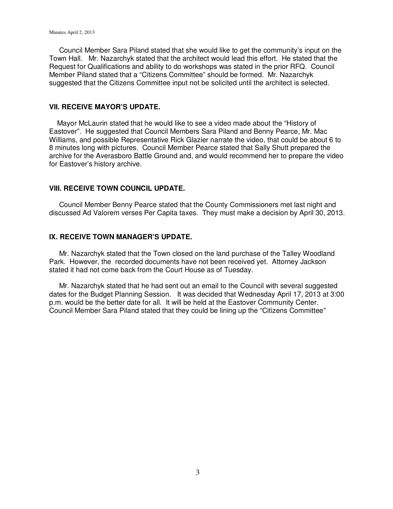Council Member Sara Piland stated that she would like to get the community's input on the Town Hall. Mr. Nazarchyk stated that the architect would lead this effort. He stated that the Request for Qualifications and ability to do workshops was stated in the prior RFQ. Council Member Piland stated that a "Citizens Committee" should be formed. Mr. Nazarchyk suggested that the Citizens Committee input not be solicited until the architect is selected.

## **VII. RECEIVE MAYOR'S UPDATE.**

 Mayor McLaurin stated that he would like to see a video made about the "History of Eastover". He suggested that Council Members Sara Piland and Benny Pearce, Mr. Mac Williams, and possible Representative Rick Glazier narrate the video, that could be about 6 to 8 minutes long with pictures. Council Member Pearce stated that Sally Shutt prepared the archive for the Averasboro Battle Ground and, and would recommend her to prepare the video for Eastover's history archive.

## **VIII. RECEIVE TOWN COUNCIL UPDATE.**

 Council Member Benny Pearce stated that the County Commissioners met last night and discussed Ad Valorem verses Per Capita taxes. They must make a decision by April 30, 2013.

## **IX. RECEIVE TOWN MANAGER'S UPDATE.**

 Mr. Nazarchyk stated that the Town closed on the land purchase of the Talley Woodland Park. However, the recorded documents have not been received yet. Attorney Jackson stated it had not come back from the Court House as of Tuesday.

 Mr. Nazarchyk stated that he had sent out an email to the Council with several suggested dates for the Budget Planning Session. It was decided that Wednesday April 17, 2013 at 3:00 p.m. would be the better date for all. It will be held at the Eastover Community Center. Council Member Sara Piland stated that they could be lining up the "Citizens Committee"